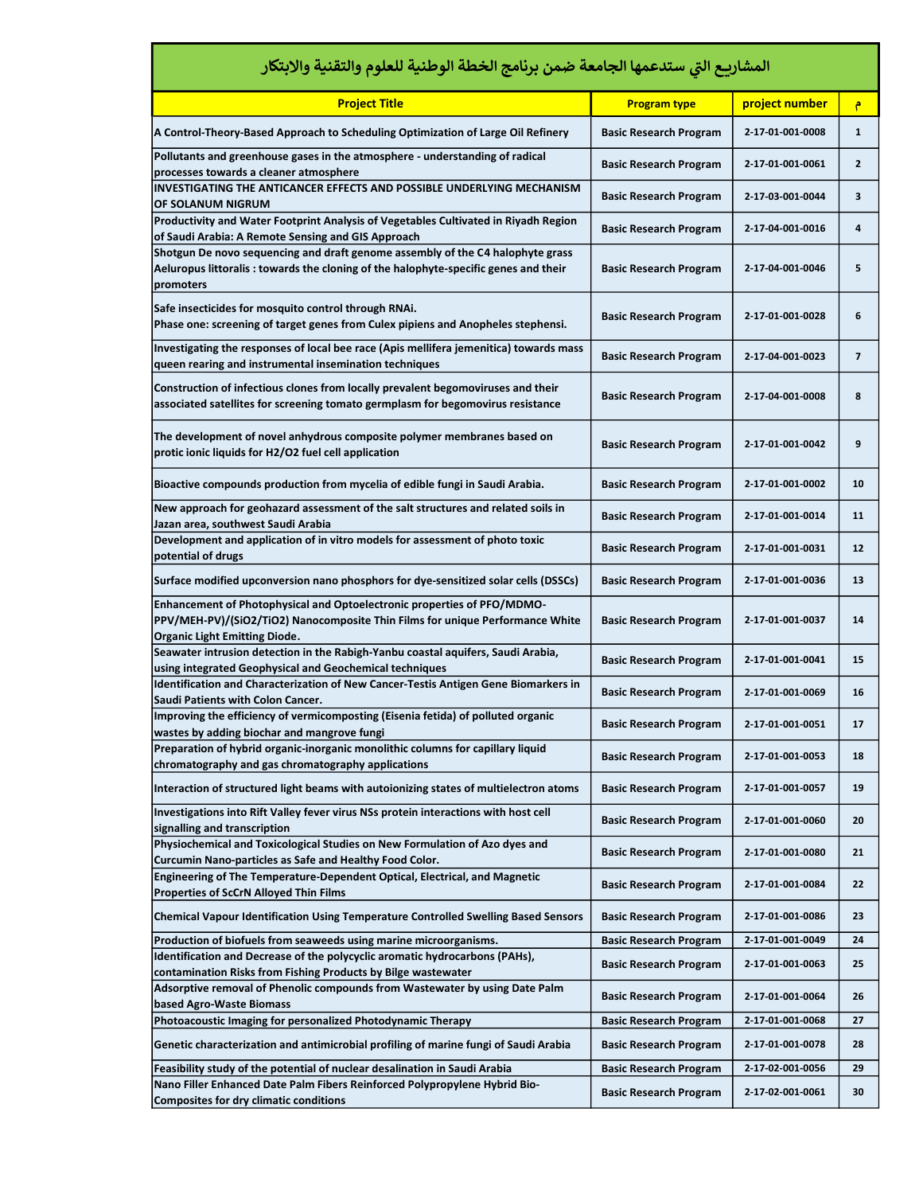| المشاريع التي ستدعمها الجامعة ضمن برنامج الخطة الوطنية للعلوم والتقنية والابتكار                                                                                                                                                          |                               |                  |                |  |
|-------------------------------------------------------------------------------------------------------------------------------------------------------------------------------------------------------------------------------------------|-------------------------------|------------------|----------------|--|
| <b>Project Title</b>                                                                                                                                                                                                                      | <b>Program type</b>           | project number   | ۴              |  |
| A Control-Theory-Based Approach to Scheduling Optimization of Large Oil Refinery                                                                                                                                                          | <b>Basic Research Program</b> | 2-17-01-001-0008 | $\mathbf{1}$   |  |
| Pollutants and greenhouse gases in the atmosphere - understanding of radical<br>processes towards a cleaner atmosphere                                                                                                                    | <b>Basic Research Program</b> | 2-17-01-001-0061 | $\mathbf{2}$   |  |
| INVESTIGATING THE ANTICANCER EFFECTS AND POSSIBLE UNDERLYING MECHANISM<br>OF SOLANUM NIGRUM                                                                                                                                               | <b>Basic Research Program</b> | 2-17-03-001-0044 | 3              |  |
| Productivity and Water Footprint Analysis of Vegetables Cultivated in Riyadh Region                                                                                                                                                       | <b>Basic Research Program</b> | 2-17-04-001-0016 | 4              |  |
| of Saudi Arabia: A Remote Sensing and GIS Approach<br>Shotgun De novo sequencing and draft genome assembly of the C4 halophyte grass<br>Aeluropus littoralis : towards the cloning of the halophyte-specific genes and their<br>promoters | <b>Basic Research Program</b> | 2-17-04-001-0046 | 5              |  |
| Safe insecticides for mosquito control through RNAi.<br>Phase one: screening of target genes from Culex pipiens and Anopheles stephensi.                                                                                                  | <b>Basic Research Program</b> | 2-17-01-001-0028 | 6              |  |
| Investigating the responses of local bee race (Apis mellifera jemenitica) towards mass<br>queen rearing and instrumental insemination techniques                                                                                          | <b>Basic Research Program</b> | 2-17-04-001-0023 | $\overline{7}$ |  |
| Construction of infectious clones from locally prevalent begomoviruses and their<br>associated satellites for screening tomato germplasm for begomovirus resistance                                                                       | <b>Basic Research Program</b> | 2-17-04-001-0008 | 8              |  |
| The development of novel anhydrous composite polymer membranes based on<br>protic ionic liquids for H2/O2 fuel cell application                                                                                                           | <b>Basic Research Program</b> | 2-17-01-001-0042 | 9              |  |
| Bioactive compounds production from mycelia of edible fungi in Saudi Arabia.                                                                                                                                                              | <b>Basic Research Program</b> | 2-17-01-001-0002 | 10             |  |
| New approach for geohazard assessment of the salt structures and related soils in<br>Jazan area, southwest Saudi Arabia                                                                                                                   | <b>Basic Research Program</b> | 2-17-01-001-0014 | 11             |  |
| Development and application of in vitro models for assessment of photo toxic<br>potential of drugs                                                                                                                                        | <b>Basic Research Program</b> | 2-17-01-001-0031 | 12             |  |
| Surface modified upconversion nano phosphors for dye-sensitized solar cells (DSSCs)                                                                                                                                                       | <b>Basic Research Program</b> | 2-17-01-001-0036 | 13             |  |
| Enhancement of Photophysical and Optoelectronic properties of PFO/MDMO-<br>PPV/MEH-PV)/(SiO2/TiO2) Nanocomposite Thin Films for unique Performance White<br><b>Organic Light Emitting Diode.</b>                                          | <b>Basic Research Program</b> | 2-17-01-001-0037 | 14             |  |
| Seawater intrusion detection in the Rabigh-Yanbu coastal aquifers, Saudi Arabia,<br>using integrated Geophysical and Geochemical techniques                                                                                               | <b>Basic Research Program</b> | 2-17-01-001-0041 | 15             |  |
| Identification and Characterization of New Cancer-Testis Antigen Gene Biomarkers in<br>Saudi Patients with Colon Cancer.                                                                                                                  | <b>Basic Research Program</b> | 2-17-01-001-0069 | 16             |  |
| Improving the efficiency of vermicomposting (Eisenia fetida) of polluted organic<br>wastes by adding biochar and mangrove fungi                                                                                                           | <b>Basic Research Program</b> | 2-17-01-001-0051 | 17             |  |
| Preparation of hybrid organic-inorganic monolithic columns for capillary liquid<br>chromatography and gas chromatography applications                                                                                                     | <b>Basic Research Program</b> | 2-17-01-001-0053 | 18             |  |
| Interaction of structured light beams with autoionizing states of multielectron atoms                                                                                                                                                     | <b>Basic Research Program</b> | 2-17-01-001-0057 | 19             |  |
| Investigations into Rift Valley fever virus NSs protein interactions with host cell<br>signalling and transcription                                                                                                                       | <b>Basic Research Program</b> | 2-17-01-001-0060 | 20             |  |
| Physiochemical and Toxicological Studies on New Formulation of Azo dyes and<br>Curcumin Nano-particles as Safe and Healthy Food Color.                                                                                                    | <b>Basic Research Program</b> | 2-17-01-001-0080 | 21             |  |
| Engineering of The Temperature-Dependent Optical, Electrical, and Magnetic<br>Properties of ScCrN Alloyed Thin Films                                                                                                                      | <b>Basic Research Program</b> | 2-17-01-001-0084 | 22             |  |
| <b>Chemical Vapour Identification Using Temperature Controlled Swelling Based Sensors</b>                                                                                                                                                 | <b>Basic Research Program</b> | 2-17-01-001-0086 | 23             |  |
| Production of biofuels from seaweeds using marine microorganisms.                                                                                                                                                                         | <b>Basic Research Program</b> | 2-17-01-001-0049 | 24             |  |
| Identification and Decrease of the polycyclic aromatic hydrocarbons (PAHs),<br>contamination Risks from Fishing Products by Bilge wastewater                                                                                              | <b>Basic Research Program</b> | 2-17-01-001-0063 | 25             |  |
| Adsorptive removal of Phenolic compounds from Wastewater by using Date Palm<br>based Agro-Waste Biomass                                                                                                                                   | <b>Basic Research Program</b> | 2-17-01-001-0064 | 26             |  |
| Photoacoustic Imaging for personalized Photodynamic Therapy                                                                                                                                                                               | <b>Basic Research Program</b> | 2-17-01-001-0068 | 27             |  |
| Genetic characterization and antimicrobial profiling of marine fungi of Saudi Arabia                                                                                                                                                      | <b>Basic Research Program</b> | 2-17-01-001-0078 | 28             |  |
| Feasibility study of the potential of nuclear desalination in Saudi Arabia                                                                                                                                                                | <b>Basic Research Program</b> | 2-17-02-001-0056 | 29             |  |
| Nano Filler Enhanced Date Palm Fibers Reinforced Polypropylene Hybrid Bio-<br><b>Composites for dry climatic conditions</b>                                                                                                               | <b>Basic Research Program</b> | 2-17-02-001-0061 | 30             |  |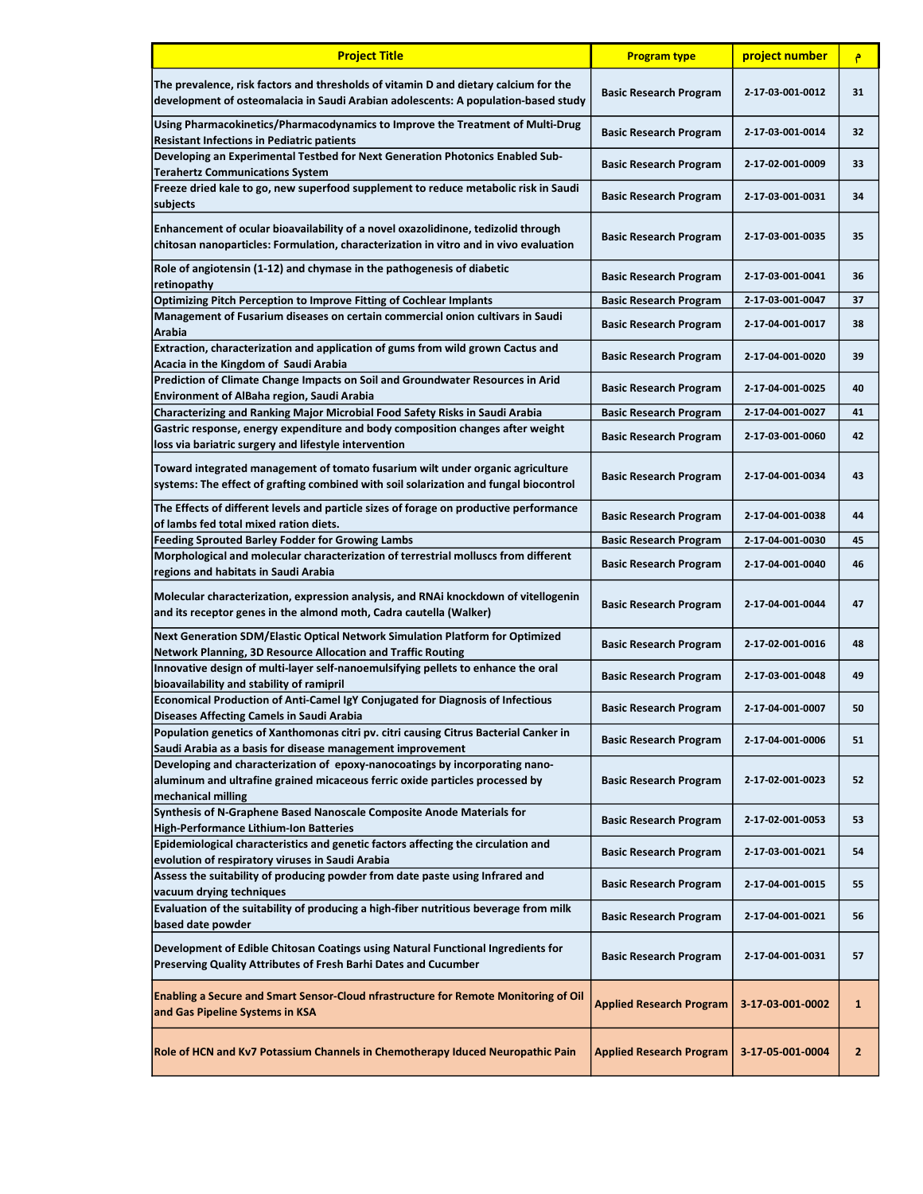| <b>Project Title</b>                                                                                                                                                               | <b>Program type</b>             | project number   | ۴            |
|------------------------------------------------------------------------------------------------------------------------------------------------------------------------------------|---------------------------------|------------------|--------------|
| The prevalence, risk factors and thresholds of vitamin D and dietary calcium for the<br>development of osteomalacia in Saudi Arabian adolescents: A population-based study         | <b>Basic Research Program</b>   | 2-17-03-001-0012 | 31           |
| Using Pharmacokinetics/Pharmacodynamics to Improve the Treatment of Multi-Drug<br><b>Resistant Infections in Pediatric patients</b>                                                | <b>Basic Research Program</b>   | 2-17-03-001-0014 | 32           |
| Developing an Experimental Testbed for Next Generation Photonics Enabled Sub-<br><b>Terahertz Communications System</b>                                                            | <b>Basic Research Program</b>   | 2-17-02-001-0009 | 33           |
| Freeze dried kale to go, new superfood supplement to reduce metabolic risk in Saudi<br>subjects                                                                                    | <b>Basic Research Program</b>   | 2-17-03-001-0031 | 34           |
| Enhancement of ocular bioavailability of a novel oxazolidinone, tedizolid through<br>chitosan nanoparticles: Formulation, characterization in vitro and in vivo evaluation         | <b>Basic Research Program</b>   | 2-17-03-001-0035 | 35           |
| Role of angiotensin (1-12) and chymase in the pathogenesis of diabetic<br>retinopathy                                                                                              | <b>Basic Research Program</b>   | 2-17-03-001-0041 | 36           |
| Optimizing Pitch Perception to Improve Fitting of Cochlear Implants                                                                                                                | <b>Basic Research Program</b>   | 2-17-03-001-0047 | 37           |
| Management of Fusarium diseases on certain commercial onion cultivars in Saudi<br>Arabia                                                                                           | <b>Basic Research Program</b>   | 2-17-04-001-0017 | 38           |
| Extraction, characterization and application of gums from wild grown Cactus and<br>Acacia in the Kingdom of Saudi Arabia                                                           | <b>Basic Research Program</b>   | 2-17-04-001-0020 | 39           |
| Prediction of Climate Change Impacts on Soil and Groundwater Resources in Arid<br><b>Environment of AlBaha region, Saudi Arabia</b>                                                | <b>Basic Research Program</b>   | 2-17-04-001-0025 | 40           |
| Characterizing and Ranking Major Microbial Food Safety Risks in Saudi Arabia                                                                                                       | <b>Basic Research Program</b>   | 2-17-04-001-0027 | 41           |
| Gastric response, energy expenditure and body composition changes after weight                                                                                                     | <b>Basic Research Program</b>   | 2-17-03-001-0060 | 42           |
| loss via bariatric surgery and lifestyle intervention                                                                                                                              |                                 |                  |              |
| Toward integrated management of tomato fusarium wilt under organic agriculture<br>systems: The effect of grafting combined with soil solarization and fungal biocontrol            | <b>Basic Research Program</b>   | 2-17-04-001-0034 | 43           |
| The Effects of different levels and particle sizes of forage on productive performance<br>of lambs fed total mixed ration diets.                                                   | <b>Basic Research Program</b>   | 2-17-04-001-0038 | 44           |
| <b>Feeding Sprouted Barley Fodder for Growing Lambs</b>                                                                                                                            | <b>Basic Research Program</b>   | 2-17-04-001-0030 | 45           |
| Morphological and molecular characterization of terrestrial molluscs from different                                                                                                |                                 |                  |              |
| regions and habitats in Saudi Arabia                                                                                                                                               | <b>Basic Research Program</b>   | 2-17-04-001-0040 | 46           |
| Molecular characterization, expression analysis, and RNAi knockdown of vitellogenin<br>and its receptor genes in the almond moth, Cadra cautella (Walker)                          | <b>Basic Research Program</b>   | 2-17-04-001-0044 | 47           |
| Next Generation SDM/Elastic Optical Network Simulation Platform for Optimized<br>Network Planning, 3D Resource Allocation and Traffic Routing                                      | <b>Basic Research Program</b>   | 2-17-02-001-0016 | 48           |
| Innovative design of multi-layer self-nanoemulsifying pellets to enhance the oral<br>bioavailability and stability of ramipril                                                     | <b>Basic Research Program</b>   | 2-17-03-001-0048 | 49           |
| Economical Production of Anti-Camel IgY Conjugated for Diagnosis of Infectious<br><b>Diseases Affecting Camels in Saudi Arabia</b>                                                 | <b>Basic Research Program</b>   | 2-17-04-001-0007 | 50           |
| Population genetics of Xanthomonas citri pv. citri causing Citrus Bacterial Canker in<br>Saudi Arabia as a basis for disease management improvement                                | <b>Basic Research Program</b>   | 2-17-04-001-0006 | 51           |
| Developing and characterization of epoxy-nanocoatings by incorporating nano-<br>aluminum and ultrafine grained micaceous ferric oxide particles processed by<br>mechanical milling | <b>Basic Research Program</b>   | 2-17-02-001-0023 | 52           |
| Synthesis of N-Graphene Based Nanoscale Composite Anode Materials for<br>High-Performance Lithium-Ion Batteries                                                                    | <b>Basic Research Program</b>   | 2-17-02-001-0053 | 53           |
| Epidemiological characteristics and genetic factors affecting the circulation and<br>evolution of respiratory viruses in Saudi Arabia                                              | <b>Basic Research Program</b>   | 2-17-03-001-0021 | 54           |
| Assess the suitability of producing powder from date paste using Infrared and<br>vacuum drying techniques                                                                          | <b>Basic Research Program</b>   | 2-17-04-001-0015 | 55           |
| Evaluation of the suitability of producing a high-fiber nutritious beverage from milk<br>based date powder                                                                         | <b>Basic Research Program</b>   | 2-17-04-001-0021 | 56           |
| Development of Edible Chitosan Coatings using Natural Functional Ingredients for<br>Preserving Quality Attributes of Fresh Barhi Dates and Cucumber                                | <b>Basic Research Program</b>   | 2-17-04-001-0031 | 57           |
| <b>Enabling a Secure and Smart Sensor-Cloud nfrastructure for Remote Monitoring of Oil</b><br>and Gas Pipeline Systems in KSA                                                      | <b>Applied Research Program</b> | 3-17-03-001-0002 | $\mathbf{1}$ |
| Role of HCN and Kv7 Potassium Channels in Chemotherapy Iduced Neuropathic Pain                                                                                                     | <b>Applied Research Program</b> | 3-17-05-001-0004 | 2            |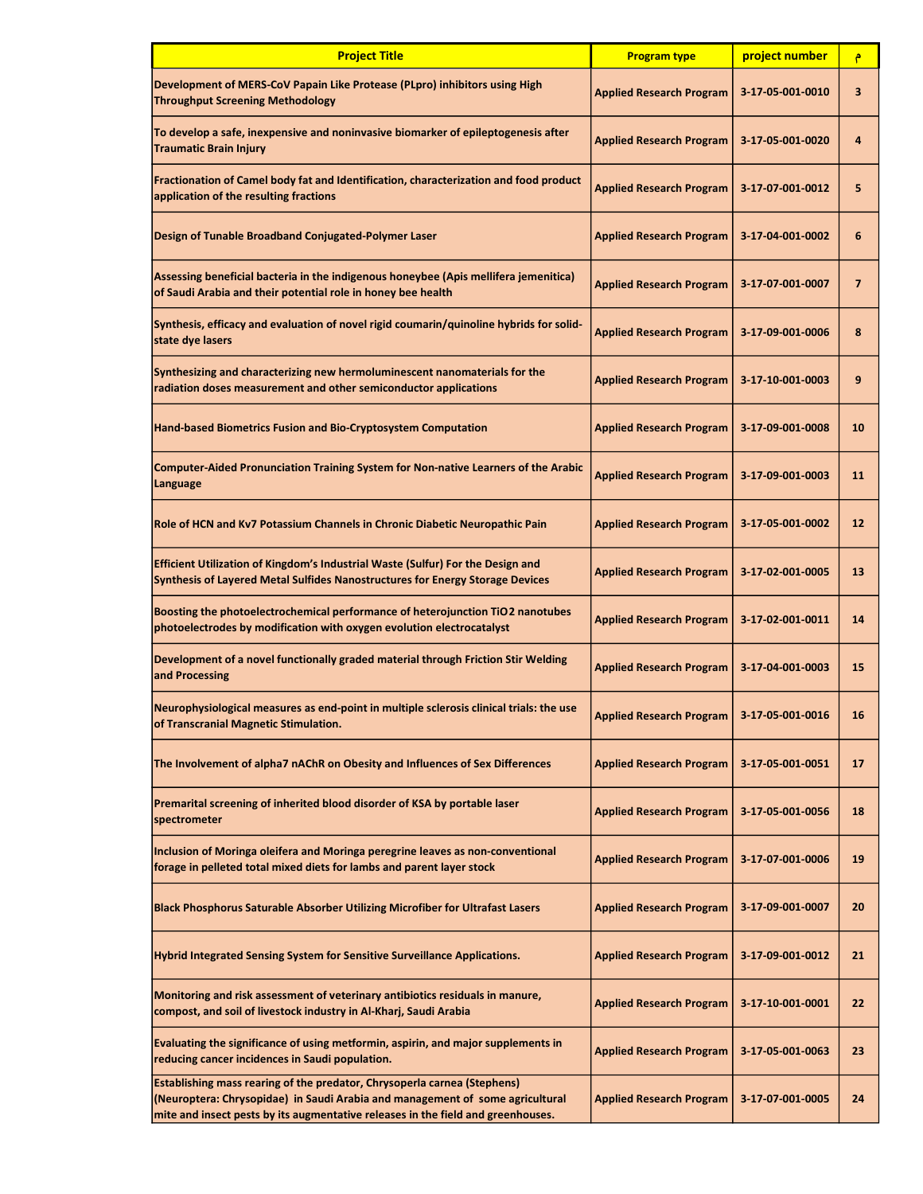| <b>Project Title</b>                                                                                                                                                                                                                                 | <b>Program type</b>             | project number   | ۴               |
|------------------------------------------------------------------------------------------------------------------------------------------------------------------------------------------------------------------------------------------------------|---------------------------------|------------------|-----------------|
| Development of MERS-CoV Papain Like Protease (PLpro) inhibitors using High<br><b>Throughput Screening Methodology</b>                                                                                                                                | <b>Applied Research Program</b> | 3-17-05-001-0010 | 3               |
| To develop a safe, inexpensive and noninvasive biomarker of epileptogenesis after<br><b>Traumatic Brain Injury</b>                                                                                                                                   | <b>Applied Research Program</b> | 3-17-05-001-0020 | 4               |
| Fractionation of Camel body fat and Identification, characterization and food product<br>application of the resulting fractions                                                                                                                      | <b>Applied Research Program</b> | 3-17-07-001-0012 | 5               |
| Design of Tunable Broadband Conjugated-Polymer Laser                                                                                                                                                                                                 | <b>Applied Research Program</b> | 3-17-04-001-0002 | 6               |
| Assessing beneficial bacteria in the indigenous honeybee (Apis mellifera jemenitica)<br>of Saudi Arabia and their potential role in honey bee health                                                                                                 | <b>Applied Research Program</b> | 3-17-07-001-0007 | $\overline{7}$  |
| Synthesis, efficacy and evaluation of novel rigid coumarin/quinoline hybrids for solid-<br>state dye lasers                                                                                                                                          | <b>Applied Research Program</b> | 3-17-09-001-0006 | 8               |
| Synthesizing and characterizing new hermoluminescent nanomaterials for the<br>radiation doses measurement and other semiconductor applications                                                                                                       | <b>Applied Research Program</b> | 3-17-10-001-0003 | 9               |
| Hand-based Biometrics Fusion and Bio-Cryptosystem Computation                                                                                                                                                                                        | <b>Applied Research Program</b> | 3-17-09-001-0008 | 10              |
| <b>Computer-Aided Pronunciation Training System for Non-native Learners of the Arabic</b><br>Language                                                                                                                                                | <b>Applied Research Program</b> | 3-17-09-001-0003 | 11              |
| Role of HCN and Kv7 Potassium Channels in Chronic Diabetic Neuropathic Pain                                                                                                                                                                          | <b>Applied Research Program</b> | 3-17-05-001-0002 | 12 <sup>2</sup> |
| Efficient Utilization of Kingdom's Industrial Waste (Sulfur) For the Design and<br>Synthesis of Layered Metal Sulfides Nanostructures for Energy Storage Devices                                                                                     | <b>Applied Research Program</b> | 3-17-02-001-0005 | 13              |
| Boosting the photoelectrochemical performance of heterojunction TiO2 nanotubes<br>photoelectrodes by modification with oxygen evolution electrocatalyst                                                                                              | <b>Applied Research Program</b> | 3-17-02-001-0011 | 14              |
| Development of a novel functionally graded material through Friction Stir Welding<br>and Processing                                                                                                                                                  | <b>Applied Research Program</b> | 3-17-04-001-0003 | 15              |
| Neurophysiological measures as end-point in multiple sclerosis clinical trials: the use<br>of Transcranial Magnetic Stimulation.                                                                                                                     | <b>Applied Research Program</b> | 3-17-05-001-0016 | 16              |
| The Involvement of alpha7 nAChR on Obesity and Influences of Sex Differences                                                                                                                                                                         | <b>Applied Research Program</b> | 3-17-05-001-0051 | 17              |
| Premarital screening of inherited blood disorder of KSA by portable laser<br>spectrometer                                                                                                                                                            | <b>Applied Research Program</b> | 3-17-05-001-0056 | 18              |
| Inclusion of Moringa oleifera and Moringa peregrine leaves as non-conventional<br>forage in pelleted total mixed diets for lambs and parent layer stock                                                                                              | <b>Applied Research Program</b> | 3-17-07-001-0006 | 19              |
| <b>Black Phosphorus Saturable Absorber Utilizing Microfiber for Ultrafast Lasers</b>                                                                                                                                                                 | <b>Applied Research Program</b> | 3-17-09-001-0007 | 20              |
| Hybrid Integrated Sensing System for Sensitive Surveillance Applications.                                                                                                                                                                            | <b>Applied Research Program</b> | 3-17-09-001-0012 | 21              |
| Monitoring and risk assessment of veterinary antibiotics residuals in manure,<br>compost, and soil of livestock industry in Al-Kharj, Saudi Arabia                                                                                                   | <b>Applied Research Program</b> | 3-17-10-001-0001 | 22              |
| Evaluating the significance of using metformin, aspirin, and major supplements in<br>reducing cancer incidences in Saudi population.                                                                                                                 | <b>Applied Research Program</b> | 3-17-05-001-0063 | 23              |
| <b>Establishing mass rearing of the predator, Chrysoperla carnea (Stephens)</b><br>(Neuroptera: Chrysopidae) in Saudi Arabia and management of some agricultural<br>mite and insect pests by its augmentative releases in the field and greenhouses. | <b>Applied Research Program</b> | 3-17-07-001-0005 | 24              |